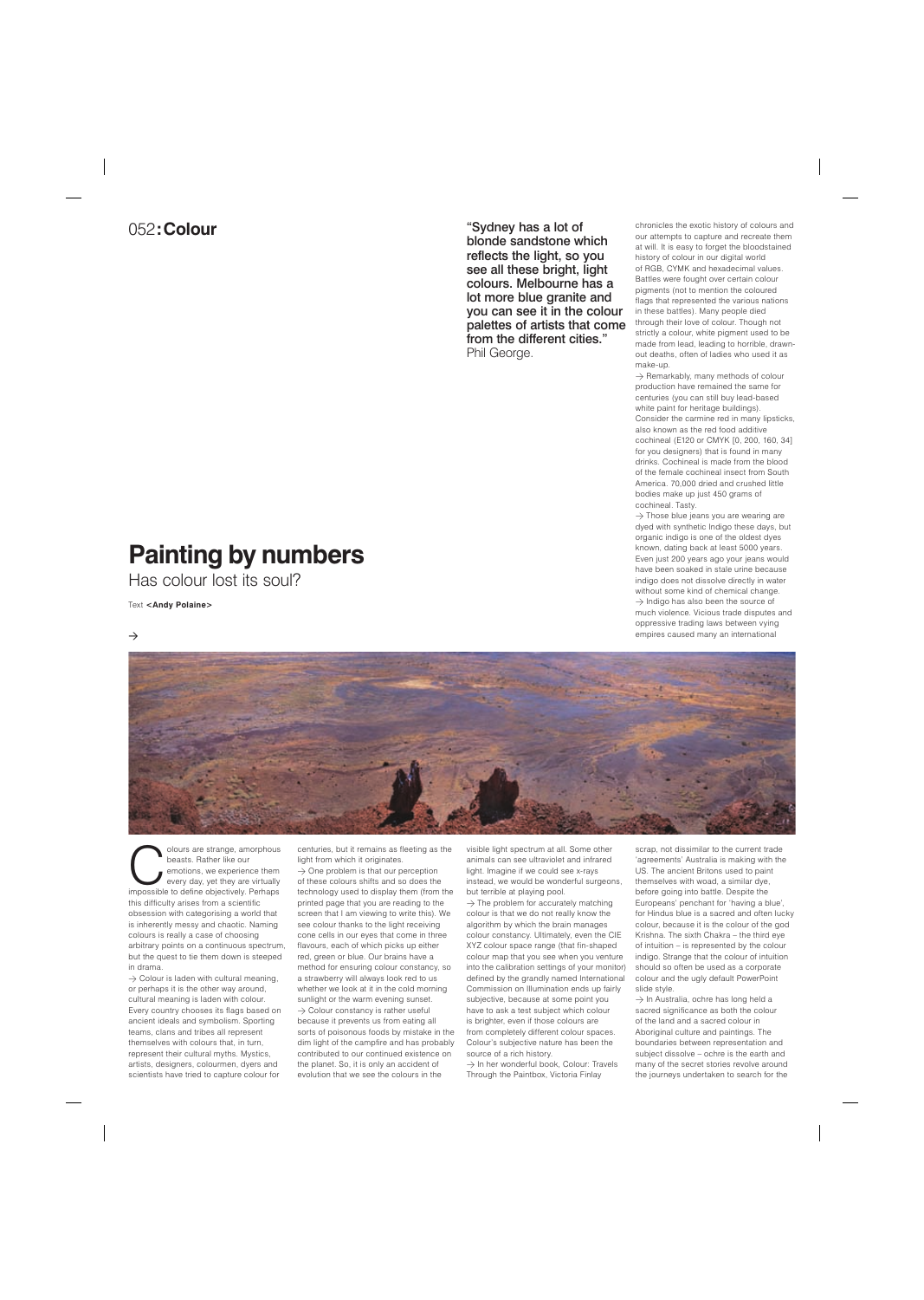## 052**:Colour**

## **Painting by numbers**

Has colour lost its soul?





Text **<Andy Polaine>**

**Colours are strange, amorphous**<br>
beasts. Rather like our<br>
emotions, we experience them<br>
every day, yet they are virtually<br>
impossible to define objectively. Perhaps beasts. Rather like our emotions, we experience them every day, yet they are virtually this difficulty arises from a scientific obsession with categorising a world that is inherently messy and chaotic. Naming colours is really a case of choosing arbitrary points on a continuous spectrum, but the quest to tie them down is steeped in drama.

 $\rightarrow$  Colour is laden with cultural meaning, or perhaps it is the other way around, cultural meaning is laden with colour. Every country chooses its flags based on ancient ideals and symbolism. Sporting teams, clans and tribes all represent themselves with colours that, in turn, represent their cultural myths. Mystics, artists, designers, colourmen, dyers and scientists have tried to capture colour for

 $\rightarrow$  One problem is that our perception of these colours shifts and so does the technology used to display them (from the printed page that you are reading to the screen that I am viewing to write this). We see colour thanks to the light receiving cone cells in our eyes that come in three flavours, each of which picks up either red, green or blue. Our brains have a method for ensuring colour constancy, so a strawberry will always look red to us whether we look at it in the cold morning sunlight or the warm evening sunset.  $\rightarrow$  Colour constancy is rather useful because it prevents us from eating all sorts of poisonous foods by mistake in the dim light of the campfire and has probably contributed to our continued existence on the planet. So, it is only an accident of evolution that we see the colours in the

centuries, but it remains as fleeting as the light from which it originates.

> $\rightarrow$  The problem for accurately matching colour is that we do not really know the algorithm by which the brain manages colour constancy. Ultimately, even the CIE XYZ colour space range (that fin-shaped colour map that you see when you venture into the calibration settings of your monitor) defined by the grandly named International Commission on Illumination ends up fairly subjective, because at some point you have to ask a test subject which colour is brighter, even if those colours are from completely different colour spaces. Colour's subjective nature has been the source of a rich history.

 $\rightarrow$  In her wonderful book, Colour: Travels Through the Paintbox, Victoria Finlay

 $\rightarrow$  In Australia, ochre has long held a sacred significance as both the colour of the land and a sacred colour in Aboriginal culture and paintings. The boundaries between representation and subject dissolve – ochre is the earth and many of the secret stories revolve around the journeys undertaken to search for the

visible light spectrum at all. Some other animals can see ultraviolet and infrared light. Imagine if we could see x-rays instead, we would be wonderful surgeons, but terrible at playing pool.

 $\rightarrow$  Remarkably, many methods of colour production have remained the same for centuries (you can still buy lead-based white paint for heritage buildings). Consider the carmine red in many lipsticks, also known as the red food additive cochineal (E120 or CMYK [0, 200, 160, 34] for you designers) that is found in many drinks. Cochineal is made from the blood of the female cochineal insect from South America. 70,000 dried and crushed little bodies make up just 450 grams of cochineal. Tasty.

 $\rightarrow$  Those blue jeans you are wearing are dyed with synthetic Indigo these days, but organic indigo is one of the oldest dyes known, dating back at least 5000 years. Even just 200 years ago your jeans would have been soaked in stale urine because indigo does not dissolve directly in water without some kind of chemical change.  $\rightarrow$  Indigo has also been the source of much violence. Vicious trade disputes and oppressive trading laws between vying empires caused many an international



scrap, not dissimilar to the current trade 'agreements' Australia is making with the US. The ancient Britons used to paint themselves with woad, a similar dye, before going into battle. Despite the Europeans' penchant for 'having a blue', for Hindus blue is a sacred and often lucky colour, because it is the colour of the god Krishna. The sixth Chakra – the third eye of intuition – is represented by the colour indigo. Strange that the colour of intuition should so often be used as a corporate

colour and the ugly default PowerPoint slide style.

chronicles the exotic history of colours and our attempts to capture and recreate them at will. It is easy to forget the bloodstained history of colour in our digital world of RGB, CYMK and hexadecimal values. Battles were fought over certain colour pigments (not to mention the coloured flags that represented the various nations in these battles). Many people died through their love of colour. Though not strictly a colour, white pigment used to be made from lead, leading to horrible, drawnout deaths, often of ladies who used it as make-up.

"Sydney has a lot of blonde sandstone which reflects the light, so you see all these bright, light colours. Melbourne has a lot more blue granite and you can see it in the colour palettes of artists that come from the different cities." Phil George.

 $\rightarrow$